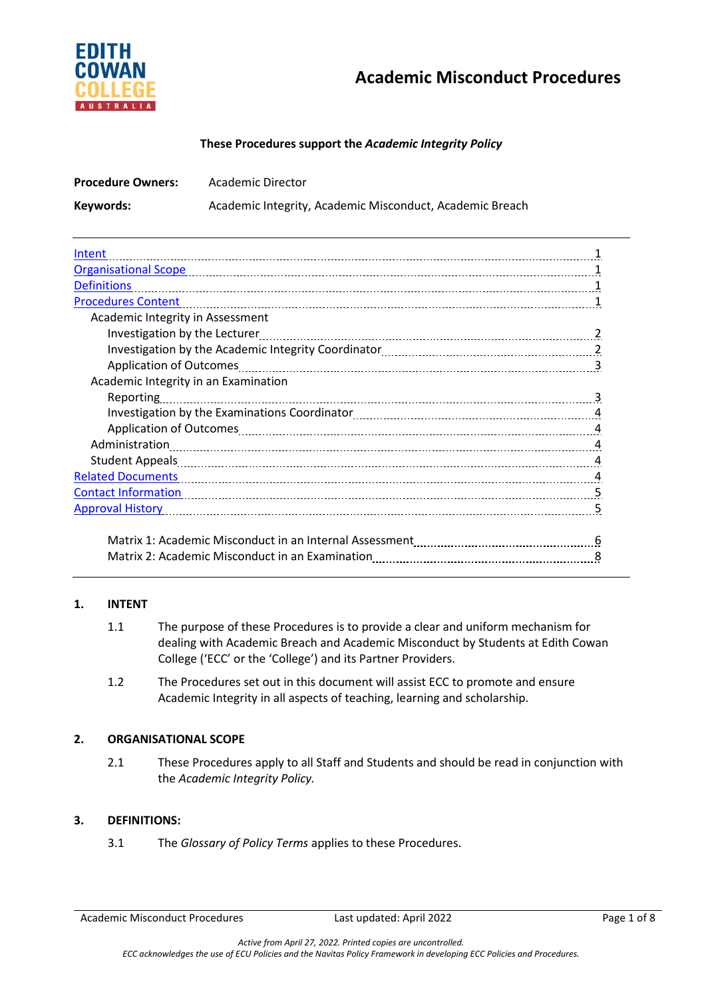

# **Academic Misconduct Procedures**

#### **These Procedures support the** *Academic Integrity Policy*

| <b>Procedure Owners:</b>                                                                                            | <b>Academic Director</b>                                                                                                 |  |  |
|---------------------------------------------------------------------------------------------------------------------|--------------------------------------------------------------------------------------------------------------------------|--|--|
| Keywords:                                                                                                           | Academic Integrity, Academic Misconduct, Academic Breach                                                                 |  |  |
| Intent                                                                                                              |                                                                                                                          |  |  |
|                                                                                                                     |                                                                                                                          |  |  |
| <b>Definitions</b>                                                                                                  |                                                                                                                          |  |  |
|                                                                                                                     | <u>Procedures Content</u> 11 12 12 12 12 13 14 15 16 17 18 18 18 19 18 18 19 18 19 18 19 18 19 18 19 18 19 18 19 18 19 1 |  |  |
| Academic Integrity in Assessment                                                                                    |                                                                                                                          |  |  |
|                                                                                                                     |                                                                                                                          |  |  |
|                                                                                                                     |                                                                                                                          |  |  |
|                                                                                                                     |                                                                                                                          |  |  |
| Academic Integrity in an Examination                                                                                |                                                                                                                          |  |  |
|                                                                                                                     |                                                                                                                          |  |  |
|                                                                                                                     |                                                                                                                          |  |  |
|                                                                                                                     |                                                                                                                          |  |  |
| Administration 14 Marshall 2010 Marshall 2010 Marshall 2010 Marshall 2010 Marshall 2010 Marshall 2010 Marshall 2010 |                                                                                                                          |  |  |
|                                                                                                                     | Student Appeals 14 Marshall 1 March 2016 1 March 2016 1 March 2016 1 March 2016 1 March 2016 1 March 2016 1 Ma           |  |  |
|                                                                                                                     |                                                                                                                          |  |  |
|                                                                                                                     | <u>Contact Information</u> 5                                                                                             |  |  |
|                                                                                                                     |                                                                                                                          |  |  |
|                                                                                                                     |                                                                                                                          |  |  |
|                                                                                                                     |                                                                                                                          |  |  |

#### **1. INTENT**

- 1.1 The purpose of these Procedures is to provide a clear and uniform mechanism for dealing with Academic Breach and Academic Misconduct by Students at Edith Cowan College ('ECC' or the 'College') and its Partner Providers.
- 1.2 The Procedures set out in this document will assist ECC to promote and ensure Academic Integrity in all aspects of teaching, learning and scholarship.

## **2. ORGANISATIONAL SCOPE**

2.1 These Procedures apply to all Staff and Students and should be read in conjunction with the *Academic Integrity Policy.*

## **3. DEFINITIONS:**

3.1 The *Glossary of Policy Terms* applies to these Procedures.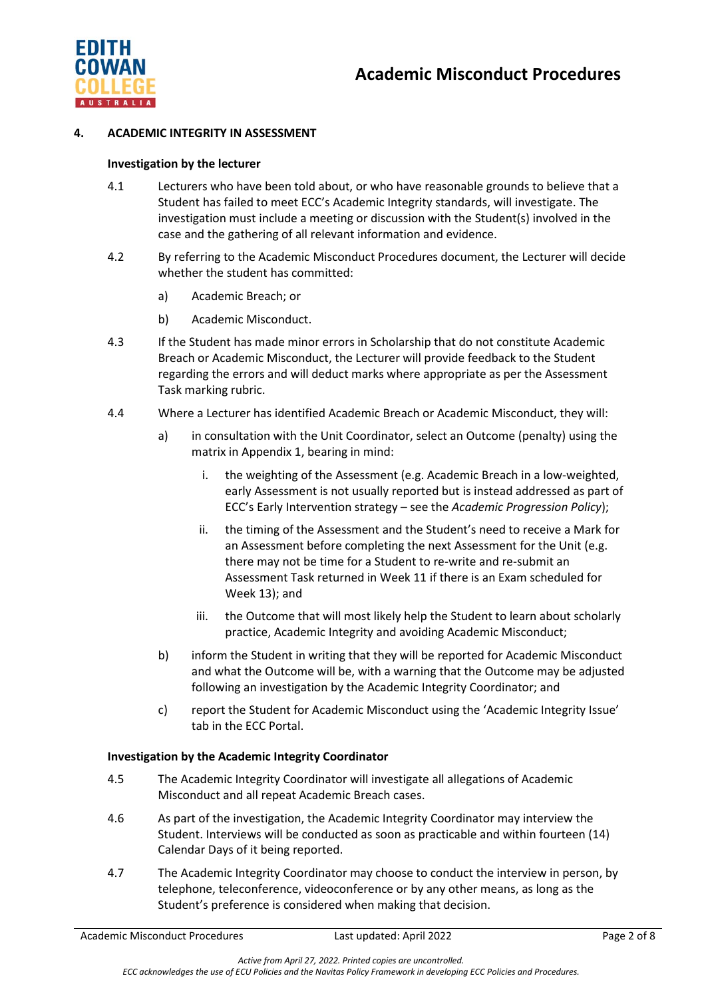

#### **4. ACADEMIC INTEGRITY IN ASSESSMENT**

#### **Investigation by the lecturer**

- 4.1 Lecturers who have been told about, or who have reasonable grounds to believe that a Student has failed to meet ECC's Academic Integrity standards, will investigate. The investigation must include a meeting or discussion with the Student(s) involved in the case and the gathering of all relevant information and evidence.
- 4.2 By referring to the Academic Misconduct Procedures document, the Lecturer will decide whether the student has committed:
	- a) Academic Breach; or
	- b) Academic Misconduct.
- 4.3 If the Student has made minor errors in Scholarship that do not constitute Academic Breach or Academic Misconduct, the Lecturer will provide feedback to the Student regarding the errors and will deduct marks where appropriate as per the Assessment Task marking rubric.
- 4.4 Where a Lecturer has identified Academic Breach or Academic Misconduct, they will:
	- a) in consultation with the Unit Coordinator, select an Outcome (penalty) using the matrix in Appendix 1, bearing in mind:
		- i. the weighting of the Assessment (e.g. Academic Breach in a low-weighted, early Assessment is not usually reported but is instead addressed as part of ECC's Early Intervention strategy – see the *Academic Progression Policy*);
		- ii. the timing of the Assessment and the Student's need to receive a Mark for an Assessment before completing the next Assessment for the Unit (e.g. there may not be time for a Student to re-write and re-submit an Assessment Task returned in Week 11 if there is an Exam scheduled for Week 13); and
		- iii. the Outcome that will most likely help the Student to learn about scholarly practice, Academic Integrity and avoiding Academic Misconduct;
	- b) inform the Student in writing that they will be reported for Academic Misconduct and what the Outcome will be, with a warning that the Outcome may be adjusted following an investigation by the Academic Integrity Coordinator; and
	- c) report the Student for Academic Misconduct using the 'Academic Integrity Issue' tab in the ECC Portal.

#### **Investigation by the Academic Integrity Coordinator**

- 4.5 The Academic Integrity Coordinator will investigate all allegations of Academic Misconduct and all repeat Academic Breach cases.
- 4.6 As part of the investigation, the Academic Integrity Coordinator may interview the Student. Interviews will be conducted as soon as practicable and within fourteen (14) Calendar Days of it being reported.
- 4.7 The Academic Integrity Coordinator may choose to conduct the interview in person, by telephone, teleconference, videoconference or by any other means, as long as the Student's preference is considered when making that decision.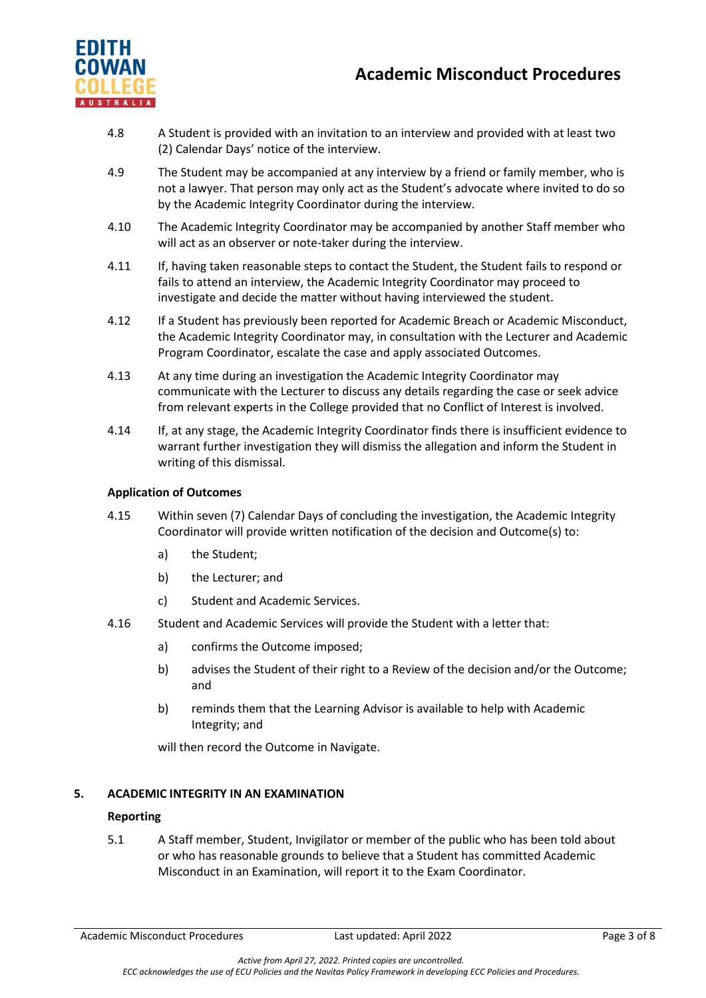

- 4.8 A Student is provided with an invitation to an interview and provided with at least two (2) Calendar Days' notice of the interview.
- 4.9 The Student may be accompanied at any interview by a friend or family member, who is not a lawyer. That person may only act as the Student's advocate where invited to do so by the Academic Integrity Coordinator during the interview.
- 4.10 The Academic Integrity Coordinator may be accompanied by another Staff member who will act as an observer or note-taker during the interview.
- 4.11 If, having taken reasonable steps to contact the Student, the Student fails to respond or fails to attend an interview, the Academic Integrity Coordinator may proceed to investigate and decide the matter without having interviewed the student.
- 4.12 If a Student has previously been reported for Academic Breach or Academic Misconduct, the Academic Integrity Coordinator may, in consultation with the Lecturer and Academic Program Coordinator, escalate the case and apply associated Outcomes.
- 4.13 At any time during an investigation the Academic Integrity Coordinator may communicate with the Lecturer to discuss any details regarding the case or seek advice from relevant experts in the College provided that no Conflict of Interest is involved.
- 4.14 If, at any stage, the Academic Integrity Coordinator finds there is insufficient evidence to warrant further investigation they will dismiss the allegation and inform the Student in writing of this dismissal.

## **Application of Outcomes**

- 4.15 Within seven (7) Calendar Days of concluding the investigation, the Academic Integrity Coordinator will provide written notification of the decision and Outcome(s) to:
	- a) the Student;
	- b) the Lecturer; and
	- c) Student and Academic Services.
- 4.16 Student and Academic Services will provide the Student with a letter that:
	- a) confirms the Outcome imposed;
	- b) advises the Student of their right to a Review of the decision and/or the Outcome; and
	- b) reminds them that the Learning Advisor is available to help with Academic Integrity; and

will then record the Outcome in Navigate.

## **5. ACADEMIC INTEGRITY IN AN EXAMINATION**

## **Reporting**

5.1 A Staff member, Student, Invigilator or member of the public who has been told about or who has reasonable grounds to believe that a Student has committed Academic Misconduct in an Examination, will report it to the Exam Coordinator.

Academic Misconduct Procedures **Last updated: April 2022** Page 3 of 8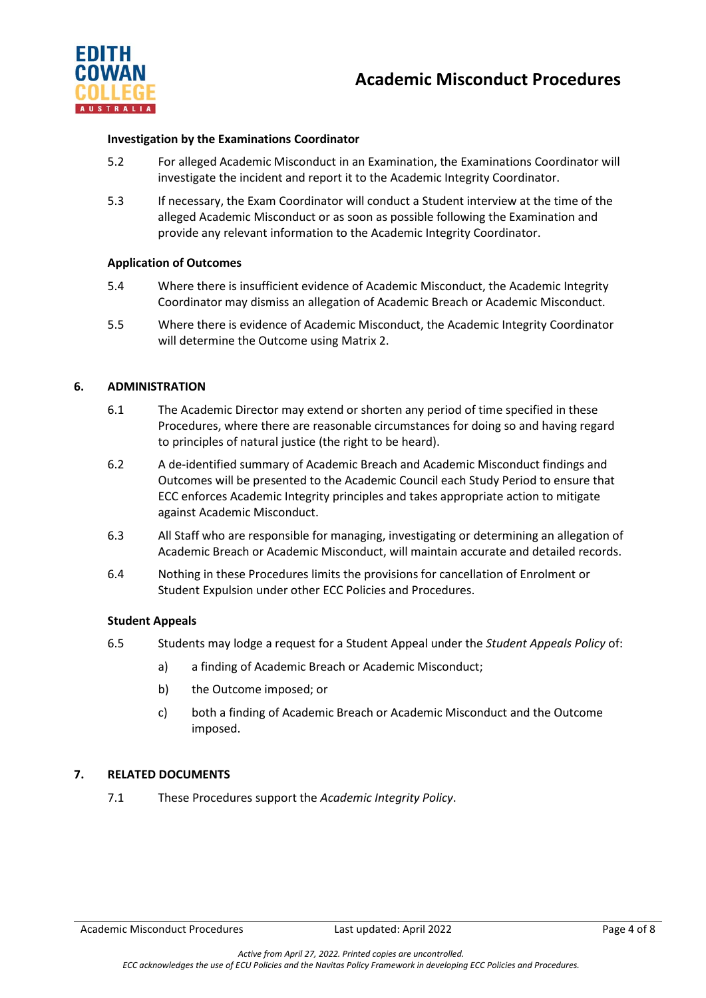



#### **Investigation by the Examinations Coordinator**

- 5.2 For alleged Academic Misconduct in an Examination, the Examinations Coordinator will investigate the incident and report it to the Academic Integrity Coordinator.
- 5.3 If necessary, the Exam Coordinator will conduct a Student interview at the time of the alleged Academic Misconduct or as soon as possible following the Examination and provide any relevant information to the Academic Integrity Coordinator.

## **Application of Outcomes**

- 5.4 Where there is insufficient evidence of Academic Misconduct, the Academic Integrity Coordinator may dismiss an allegation of Academic Breach or Academic Misconduct.
- 5.5 Where there is evidence of Academic Misconduct, the Academic Integrity Coordinator will determine the Outcome using Matrix 2.

#### **6. ADMINISTRATION**

- 6.1 The Academic Director may extend or shorten any period of time specified in these Procedures, where there are reasonable circumstances for doing so and having regard to principles of natural justice (the right to be heard).
- 6.2 A de-identified summary of Academic Breach and Academic Misconduct findings and Outcomes will be presented to the Academic Council each Study Period to ensure that ECC enforces Academic Integrity principles and takes appropriate action to mitigate against Academic Misconduct.
- 6.3 All Staff who are responsible for managing, investigating or determining an allegation of Academic Breach or Academic Misconduct, will maintain accurate and detailed records.
- 6.4 Nothing in these Procedures limits the provisions for cancellation of Enrolment or Student Expulsion under other ECC Policies and Procedures.

#### **Student Appeals**

- 6.5 Students may lodge a request for a Student Appeal under the *Student Appeals Policy* of:
	- a) a finding of Academic Breach or Academic Misconduct;
	- b) the Outcome imposed; or
	- c) both a finding of Academic Breach or Academic Misconduct and the Outcome imposed.

#### **7. RELATED DOCUMENTS**

7.1 These Procedures support the *Academic Integrity Policy*.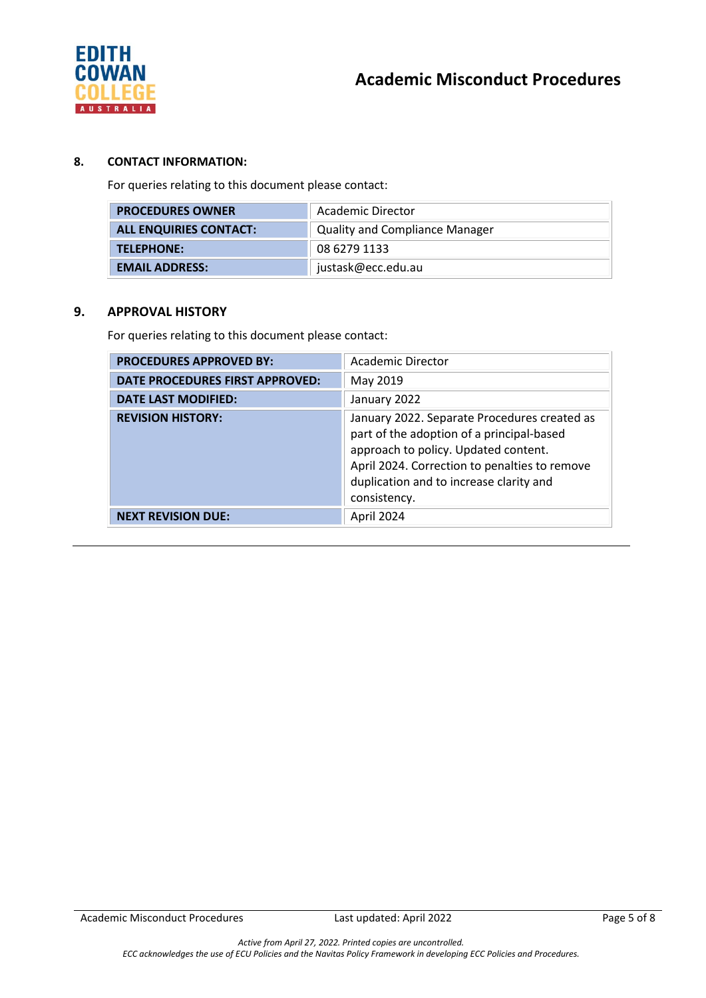

# **8. CONTACT INFORMATION:**

For queries relating to this document please contact:

| <b>PROCEDURES OWNER</b>       | Academic Director                     |  |
|-------------------------------|---------------------------------------|--|
| <b>ALL ENQUIRIES CONTACT:</b> | <b>Quality and Compliance Manager</b> |  |
| TELEPHONE:                    | 08 6279 1133                          |  |
| <b>EMAIL ADDRESS:</b>         | justask@ecc.edu.au                    |  |

#### **9. APPROVAL HISTORY**

For queries relating to this document please contact:

| <b>PROCEDURES APPROVED BY:</b>  | <b>Academic Director</b>                                                                                                                                                                                                                      |
|---------------------------------|-----------------------------------------------------------------------------------------------------------------------------------------------------------------------------------------------------------------------------------------------|
| DATE PROCEDURES FIRST APPROVED: | May 2019                                                                                                                                                                                                                                      |
| <b>DATE LAST MODIFIED:</b>      | January 2022                                                                                                                                                                                                                                  |
| <b>REVISION HISTORY:</b>        | January 2022. Separate Procedures created as<br>part of the adoption of a principal-based<br>approach to policy. Updated content.<br>April 2024. Correction to penalties to remove<br>duplication and to increase clarity and<br>consistency. |
| <b>NEXT REVISION DUE:</b>       | April 2024                                                                                                                                                                                                                                    |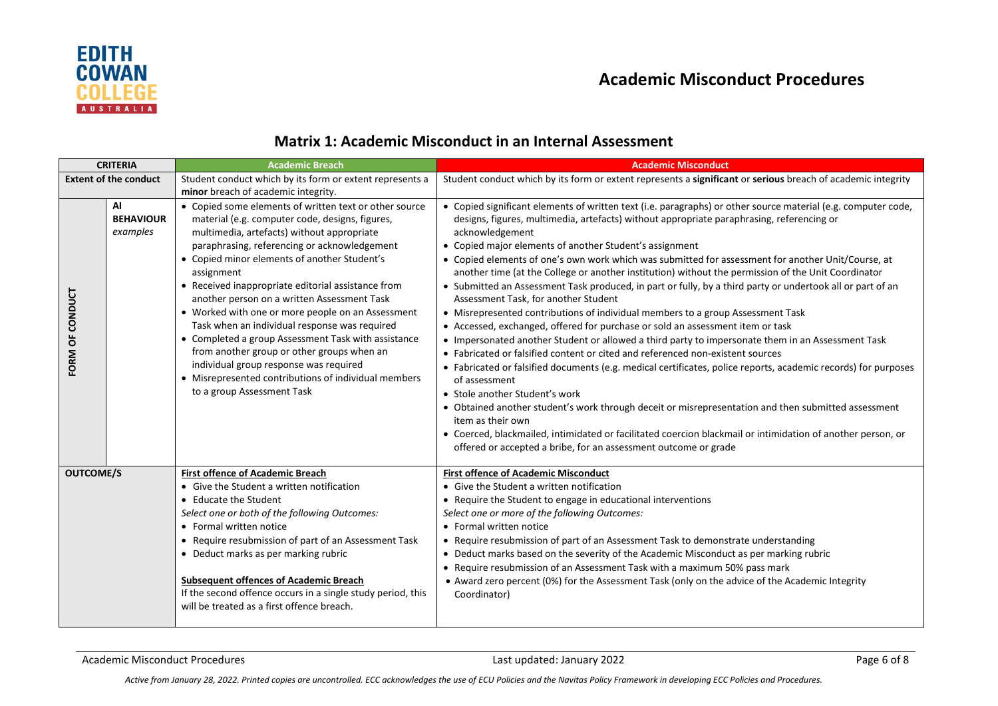

# **Academic Misconduct Procedures**

# **Matrix 1: Academic Misconduct in an Internal Assessment**

| <b>CRITERIA</b>             |                                    | <b>Academic Breach</b>                                                                                                                                                                                                                                                                                                                                                                                                                                                                                                                                                                                                                                                                                                | <b>Academic Misconduct</b>                                                                                                                                                                                                                                                                                                                                                                                                                                                                                                                                                                                                                                                                                                                                                                                                                                                                                                                                                                                                                                                                                                                                                                                                                                                                                                                                                                                                                                                                                 |
|-----------------------------|------------------------------------|-----------------------------------------------------------------------------------------------------------------------------------------------------------------------------------------------------------------------------------------------------------------------------------------------------------------------------------------------------------------------------------------------------------------------------------------------------------------------------------------------------------------------------------------------------------------------------------------------------------------------------------------------------------------------------------------------------------------------|------------------------------------------------------------------------------------------------------------------------------------------------------------------------------------------------------------------------------------------------------------------------------------------------------------------------------------------------------------------------------------------------------------------------------------------------------------------------------------------------------------------------------------------------------------------------------------------------------------------------------------------------------------------------------------------------------------------------------------------------------------------------------------------------------------------------------------------------------------------------------------------------------------------------------------------------------------------------------------------------------------------------------------------------------------------------------------------------------------------------------------------------------------------------------------------------------------------------------------------------------------------------------------------------------------------------------------------------------------------------------------------------------------------------------------------------------------------------------------------------------------|
|                             | <b>Extent of the conduct</b>       | Student conduct which by its form or extent represents a<br>minor breach of academic integrity.                                                                                                                                                                                                                                                                                                                                                                                                                                                                                                                                                                                                                       | Student conduct which by its form or extent represents a significant or serious breach of academic integrity                                                                                                                                                                                                                                                                                                                                                                                                                                                                                                                                                                                                                                                                                                                                                                                                                                                                                                                                                                                                                                                                                                                                                                                                                                                                                                                                                                                               |
| <b>CONDUCT</b><br>ŏ<br>FORM | AI<br><b>BEHAVIOUR</b><br>examples | • Copied some elements of written text or other source<br>material (e.g. computer code, designs, figures,<br>multimedia, artefacts) without appropriate<br>paraphrasing, referencing or acknowledgement<br>• Copied minor elements of another Student's<br>assignment<br>• Received inappropriate editorial assistance from<br>another person on a written Assessment Task<br>• Worked with one or more people on an Assessment<br>Task when an individual response was required<br>• Completed a group Assessment Task with assistance<br>from another group or other groups when an<br>individual group response was required<br>• Misrepresented contributions of individual members<br>to a group Assessment Task | • Copied significant elements of written text (i.e. paragraphs) or other source material (e.g. computer code,<br>designs, figures, multimedia, artefacts) without appropriate paraphrasing, referencing or<br>acknowledgement<br>• Copied major elements of another Student's assignment<br>• Copied elements of one's own work which was submitted for assessment for another Unit/Course, at<br>another time (at the College or another institution) without the permission of the Unit Coordinator<br>• Submitted an Assessment Task produced, in part or fully, by a third party or undertook all or part of an<br>Assessment Task, for another Student<br>• Misrepresented contributions of individual members to a group Assessment Task<br>• Accessed, exchanged, offered for purchase or sold an assessment item or task<br>• Impersonated another Student or allowed a third party to impersonate them in an Assessment Task<br>• Fabricated or falsified content or cited and referenced non-existent sources<br>• Fabricated or falsified documents (e.g. medical certificates, police reports, academic records) for purposes<br>of assessment<br>• Stole another Student's work<br>• Obtained another student's work through deceit or misrepresentation and then submitted assessment<br>item as their own<br>• Coerced, blackmailed, intimidated or facilitated coercion blackmail or intimidation of another person, or<br>offered or accepted a bribe, for an assessment outcome or grade |
| <b>OUTCOME/S</b>            |                                    | <b>First offence of Academic Breach</b><br>• Give the Student a written notification<br>• Educate the Student<br>Select one or both of the following Outcomes:<br>• Formal written notice<br>• Require resubmission of part of an Assessment Task<br>• Deduct marks as per marking rubric<br><b>Subsequent offences of Academic Breach</b>                                                                                                                                                                                                                                                                                                                                                                            | <b>First offence of Academic Misconduct</b><br>• Give the Student a written notification<br>• Require the Student to engage in educational interventions<br>Select one or more of the following Outcomes:<br>• Formal written notice<br>Require resubmission of part of an Assessment Task to demonstrate understanding<br>• Deduct marks based on the severity of the Academic Misconduct as per marking rubric<br>• Require resubmission of an Assessment Task with a maximum 50% pass mark<br>• Award zero percent (0%) for the Assessment Task (only on the advice of the Academic Integrity                                                                                                                                                                                                                                                                                                                                                                                                                                                                                                                                                                                                                                                                                                                                                                                                                                                                                                           |
|                             |                                    | If the second offence occurs in a single study period, this<br>will be treated as a first offence breach.                                                                                                                                                                                                                                                                                                                                                                                                                                                                                                                                                                                                             | Coordinator)                                                                                                                                                                                                                                                                                                                                                                                                                                                                                                                                                                                                                                                                                                                                                                                                                                                                                                                                                                                                                                                                                                                                                                                                                                                                                                                                                                                                                                                                                               |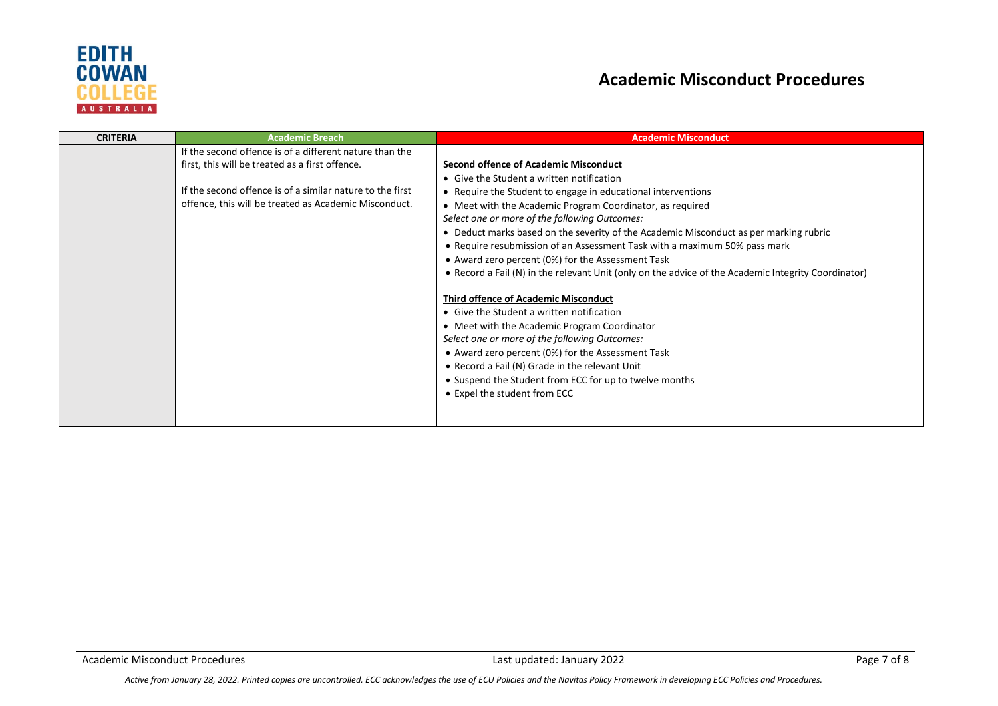

# **Academic Misconduct Procedures**

| <b>CRITERIA</b> | <b>Academic Breach</b>                                    | <b>Academic Misconduct</b>                                                                                                                                                                                                                                                                                                                                                                 |
|-----------------|-----------------------------------------------------------|--------------------------------------------------------------------------------------------------------------------------------------------------------------------------------------------------------------------------------------------------------------------------------------------------------------------------------------------------------------------------------------------|
|                 | If the second offence is of a different nature than the   |                                                                                                                                                                                                                                                                                                                                                                                            |
|                 | first, this will be treated as a first offence.           | Second offence of Academic Misconduct                                                                                                                                                                                                                                                                                                                                                      |
|                 |                                                           | • Give the Student a written notification                                                                                                                                                                                                                                                                                                                                                  |
|                 | If the second offence is of a similar nature to the first | • Require the Student to engage in educational interventions                                                                                                                                                                                                                                                                                                                               |
|                 | offence, this will be treated as Academic Misconduct.     | • Meet with the Academic Program Coordinator, as required                                                                                                                                                                                                                                                                                                                                  |
|                 |                                                           | Select one or more of the following Outcomes:                                                                                                                                                                                                                                                                                                                                              |
|                 |                                                           | • Deduct marks based on the severity of the Academic Misconduct as per marking rubric                                                                                                                                                                                                                                                                                                      |
|                 |                                                           | • Require resubmission of an Assessment Task with a maximum 50% pass mark                                                                                                                                                                                                                                                                                                                  |
|                 |                                                           | • Award zero percent (0%) for the Assessment Task                                                                                                                                                                                                                                                                                                                                          |
|                 |                                                           | • Record a Fail (N) in the relevant Unit (only on the advice of the Academic Integrity Coordinator)                                                                                                                                                                                                                                                                                        |
|                 |                                                           | <b>Third offence of Academic Misconduct</b><br>• Give the Student a written notification<br>• Meet with the Academic Program Coordinator<br>Select one or more of the following Outcomes:<br>• Award zero percent (0%) for the Assessment Task<br>• Record a Fail (N) Grade in the relevant Unit<br>• Suspend the Student from ECC for up to twelve months<br>• Expel the student from ECC |